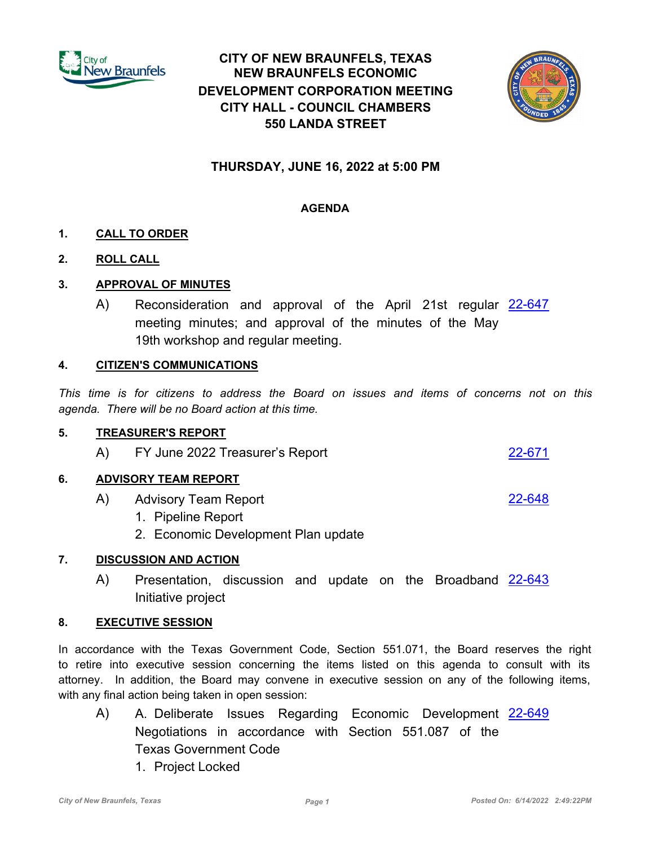

# **CITY OF NEW BRAUNFELS, TEXAS NEW BRAUNFELS ECONOMIC DEVELOPMENT CORPORATION MEETING CITY HALL - COUNCIL CHAMBERS 550 LANDA STREET**



## **THURSDAY, JUNE 16, 2022 at 5:00 PM**

## **AGENDA**

## **1. CALL TO ORDER**

**2. ROLL CALL**

## **3. APPROVAL OF MINUTES**

A) Reconsideration and approval of the April 21st regular <u>[22-647](http://newbraunfels.legistar.com/gateway.aspx?m=l&id=/matter.aspx?key=10661)</u> meeting minutes; and approval of the minutes of the May 19th workshop and regular meeting.

#### **4. CITIZEN'S COMMUNICATIONS**

*This time is for citizens to address the Board on issues and items of concerns not on this agenda. There will be no Board action at this time.*

#### **5. TREASURER'S REPORT**

A) FY June 2022 Treasurer's Report [22-671](http://newbraunfels.legistar.com/gateway.aspx?m=l&id=/matter.aspx?key=10686)

## **6. ADVISORY TEAM REPORT**

- A) Advisory Team Report <u>[22-648](http://newbraunfels.legistar.com/gateway.aspx?m=l&id=/matter.aspx?key=10662)</u>
	- 1. Pipeline Report
	- 2. Economic Development Plan update

## **7. DISCUSSION AND ACTION**

A) Presentation, discussion and update on the Broadband [22-643](http://newbraunfels.legistar.com/gateway.aspx?m=l&id=/matter.aspx?key=10657) Initiative project

## **8. EXECUTIVE SESSION**

In accordance with the Texas Government Code, Section 551.071, the Board reserves the right to retire into executive session concerning the items listed on this agenda to consult with its attorney. In addition, the Board may convene in executive session on any of the following items, with any final action being taken in open session:

- A) A. Deliberate Issues Regarding Economic Development [22-649](http://newbraunfels.legistar.com/gateway.aspx?m=l&id=/matter.aspx?key=10663) Negotiations in accordance with Section 551.087 of the Texas Government Code
	- 1. Project Locked